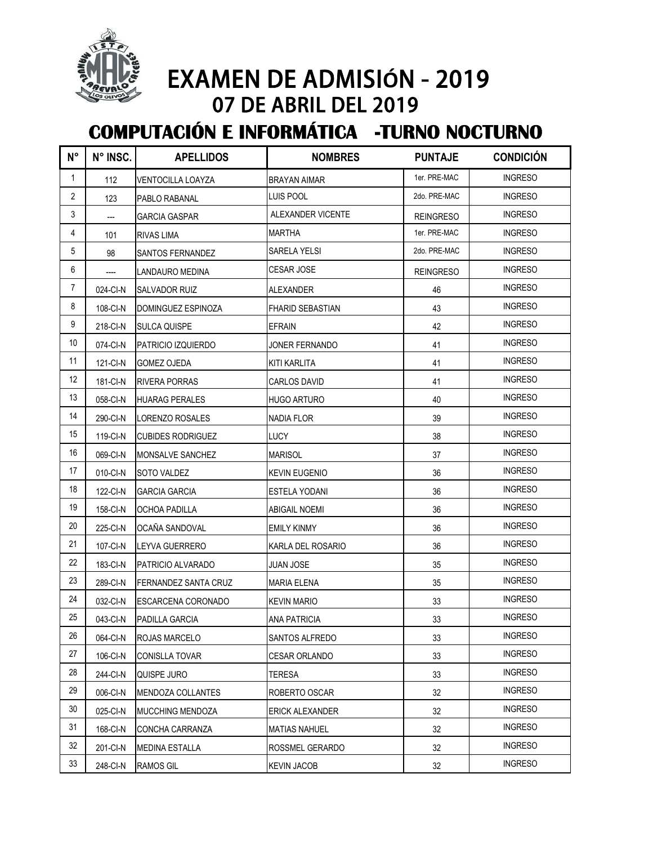

## EXAMEN DE ADMISIÓN - 2019 07 DE ABRIL DEL 2019

## **COMPUTACIÓN E INFORMÁTICA -TURNO NOCTURNO**

| N°             | N° INSC. | <b>APELLIDOS</b>          | <b>NOMBRES</b>          | <b>PUNTAJE</b>   | <b>CONDICIÓN</b> |
|----------------|----------|---------------------------|-------------------------|------------------|------------------|
| 1              | 112      | VENTOCILLA LOAYZA         | <b>BRAYAN AIMAR</b>     | 1er. PRE-MAC     | <b>INGRESO</b>   |
| $\overline{2}$ | 123      | PABLO RABANAL             | LUIS POOL               | 2do. PRE-MAC     | <b>INGRESO</b>   |
| 3              | ---      | GARCIA GASPAR             | ALEXANDER VICENTE       | <b>REINGRESO</b> | <b>INGRESO</b>   |
| 4              | 101      | RIVAS LIMA                | <b>MARTHA</b>           | 1er. PRE-MAC     | <b>INGRESO</b>   |
| 5              | 98       | SANTOS FERNANDEZ          | SARELA YELSI            | 2do. PRE-MAC     | Ingreso          |
| 6              |          | LANDAURO MEDINA           | CESAR JOSE              | <b>REINGRESO</b> | <b>INGRESO</b>   |
| 7              | 024-CI-N | SALVADOR RUIZ             | <b>ALEXANDER</b>        | 46               | <b>INGRESO</b>   |
| 8              | 108-CI-N | DOMINGUEZ ESPINOZA        | <b>FHARID SEBASTIAN</b> | 43               | <b>INGRESO</b>   |
| 9              | 218-CI-N | <b>SULCA QUISPE</b>       | <b>EFRAIN</b>           | 42               | <b>INGRESO</b>   |
| 10             | 074-CI-N | <b>PATRICIO IZQUIERDO</b> | JONER FERNANDO          | 41               | <b>INGRESO</b>   |
| 11             | 121-CI-N | <b>GOMEZ OJEDA</b>        | <b>KITI KARLITA</b>     | 41               | <b>INGRESO</b>   |
| 12             | 181-CI-N | <b>RIVERA PORRAS</b>      | CARLOS DAVID            | 41               | Ingreso          |
| 13             | 058-CI-N | <b>HUARAG PERALES</b>     | <b>HUGO ARTURO</b>      | 40               | <b>INGRESO</b>   |
| 14             | 290-CI-N | LORENZO ROSALES           | <b>NADIA FLOR</b>       | 39               | <b>INGRESO</b>   |
| 15             | 119-CI-N | <b>CUBIDES RODRIGUEZ</b>  | <b>LUCY</b>             | 38               | <b>INGRESO</b>   |
| 16             | 069-CI-N | MONSALVE SANCHEZ          | <b>MARISOL</b>          | 37               | <b>INGRESO</b>   |
| 17             | 010-CI-N | SOTO VALDEZ               | <b>KEVIN EUGENIO</b>    | 36               | <b>INGRESO</b>   |
| 18             | 122-CI-N | <b>GARCIA GARCIA</b>      | <b>ESTELA YODANI</b>    | 36               | <b>INGRESO</b>   |
| 19             | 158-CI-N | <b>OCHOA PADILLA</b>      | <b>ABIGAIL NOEMI</b>    | 36               | <b>INGRESO</b>   |
| 20             | 225-CI-N | OCAÑA SANDOVAL            | EMILY KINMY             | 36               | <b>INGRESO</b>   |
| 21             | 107-CI-N | LEYVA GUERRERO            | KARLA DEL ROSARIO       | 36               | <b>INGRESO</b>   |
| 22             | 183-CI-N | PATRICIO ALVARADO         | JUAN JOSE               | 35               | <b>INGRESO</b>   |
| 23             | 289-CI-N | FERNANDEZ SANTA CRUZ      | <b>MARIA ELENA</b>      | 35               | <b>INGRESO</b>   |
| 24             | 032-CI-N | ESCARCENA CORONADO        | <b>KEVIN MARIO</b>      | 33               | <b>INGRESO</b>   |
| 25             | 043-CI-N | PADILLA GARCIA            | <b>ANA PATRICIA</b>     | 33               | <b>INGRESO</b>   |
| 26             | 064-CI-N | ROJAS MARCELO             | SANTOS ALFREDO          | 33               | <b>INGRESO</b>   |
| 27             | 106-CI-N | <b>CONISLLA TOVAR</b>     | <b>CESAR ORLANDO</b>    | 33               | <b>INGRESO</b>   |
| 28             | 244-CI-N | QUISPE JURO               | TERESA                  | 33               | <b>INGRESO</b>   |
| 29             | 006-CI-N | <b>MENDOZA COLLANTES</b>  | ROBERTO OSCAR           | 32               | <b>INGRESO</b>   |
| 30             | 025-CI-N | <b>MUCCHING MENDOZA</b>   | ERICK ALEXANDER         | 32               | <b>INGRESO</b>   |
| 31             | 168-CI-N | CONCHA CARRANZA           | <b>MATIAS NAHUEL</b>    | 32               | <b>INGRESO</b>   |
| 32             | 201-CI-N | <b>MEDINA ESTALLA</b>     | ROSSMEL GERARDO         | 32               | <b>INGRESO</b>   |
| 33             | 248-CI-N | <b>RAMOS GIL</b>          | <b>KEVIN JACOB</b>      | 32               | <b>INGRESO</b>   |